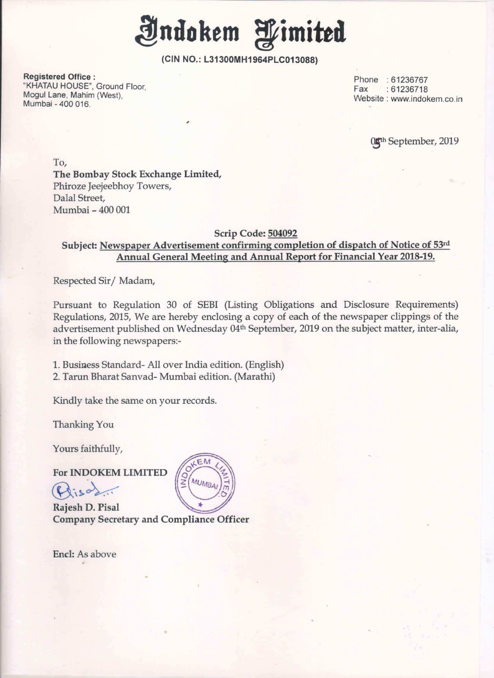

Registered Office : "KHATAU HOUSE", Ground Floor, Fax And Final Contract of the Fax And The Fax And The Fax And The Fax And The Fax Mogul Lane, Mahim (West), ' Mumbai - 400 016.

Phone : 61236767  $: 61236718$ Website : www.indokem.co.in

0<sup>th</sup> September, 2019

To, The Bombay Stock Exchange Limited, Phiroze Jeejeebhoy Towers, Dalal Street, Mumbai - 400 001

### Scrip Code: 504092

## Subject: Newspaper Advertisement confirming completion of dispatch of Notice of 53rd Annual General Meeting and Annual Report for Financial Year 2018-19.

Respected Sir/ Madam,

Pursuant to Regulation <sup>30</sup> of SEBI (Listing Obligations and Disclosure Requirements) Regulations, 2015, We are hereby enclosing <sup>a</sup> copy of each of the newspaper clippings of the advertisement published on Wednesday 04<sup>th</sup> September, 2019 on the subject matter, inter-alia, in the following newspapers:-

1. Business Standard- All over India edition. (English) 2. Tarun Bharat Sanvad- Mumbai edition. (Marathi)

Kindly take the same on your records.

Thanking You

Yours faithfully,

For INDOKEM LIMITED

 $Q$ iso $\lambda$ ...

Rajesh D. Pisa] Company Secretary and Compliance Officer

Encl: As above